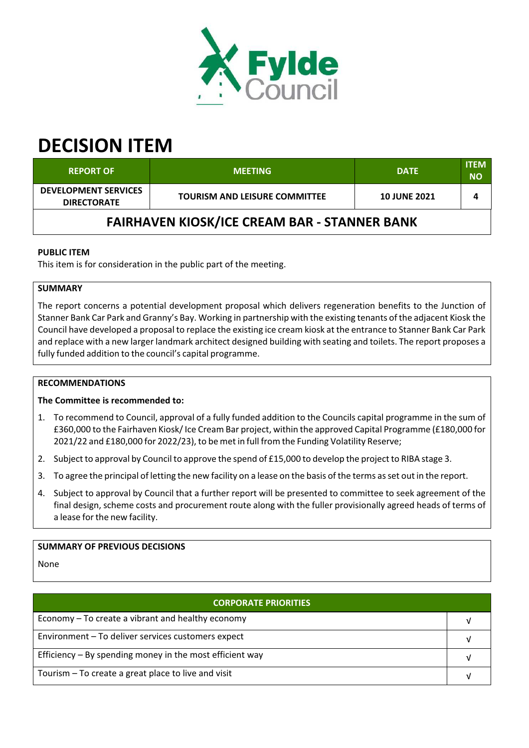

# **DECISION ITEM**

| <b>REPORT OF</b>                                    | <b>MEETING</b>                       | <b>DATE</b>         | <b>ITEM</b><br><b>NO</b> |  |  |  |
|-----------------------------------------------------|--------------------------------------|---------------------|--------------------------|--|--|--|
| <b>DEVELOPMENT SERVICES</b><br><b>DIRECTORATE</b>   | <b>TOURISM AND LEISURE COMMITTEE</b> | <b>10 JUNE 2021</b> |                          |  |  |  |
| <b>FAIRHAVEN KIOSK/ICE CREAM BAR - STANNER BANK</b> |                                      |                     |                          |  |  |  |

## **PUBLIC ITEM**

This item is for consideration in the public part of the meeting.

## **SUMMARY**

The report concerns a potential development proposal which delivers regeneration benefits to the Junction of Stanner Bank Car Park and Granny's Bay. Working in partnership with the existing tenants of the adjacent Kiosk the Council have developed a proposal to replace the existing ice cream kiosk at the entrance to Stanner Bank Car Park and replace with a new larger landmark architect designed building with seating and toilets. The report proposes a fully funded addition to the council's capital programme.

#### **RECOMMENDATIONS**

#### **The Committee is recommended to:**

- 1. To recommend to Council, approval of a fully funded addition to the Councils capital programme in the sum of £360,000 to the Fairhaven Kiosk/Ice Cream Bar project, within the approved Capital Programme (£180,000 for 2021/22 and £180,000 for 2022/23), to be met in full from the Funding Volatility Reserve;
- 2. Subject to approval by Council to approve the spend of £15,000 to develop the project to RIBA stage 3.
- 3. To agree the principal of letting the new facility on a lease on the basis of the terms asset out in the report.
- 4. Subject to approval by Council that a further report will be presented to committee to seek agreement of the final design, scheme costs and procurement route along with the fuller provisionally agreed heads of terms of a lease for the new facility.

#### **SUMMARY OF PREVIOUS DECISIONS**

None

| <b>CORPORATE PRIORITIES</b>                                |  |  |
|------------------------------------------------------------|--|--|
| Economy – To create a vibrant and healthy economy          |  |  |
| Environment - To deliver services customers expect         |  |  |
| Efficiency $-$ By spending money in the most efficient way |  |  |
| Tourism – To create a great place to live and visit        |  |  |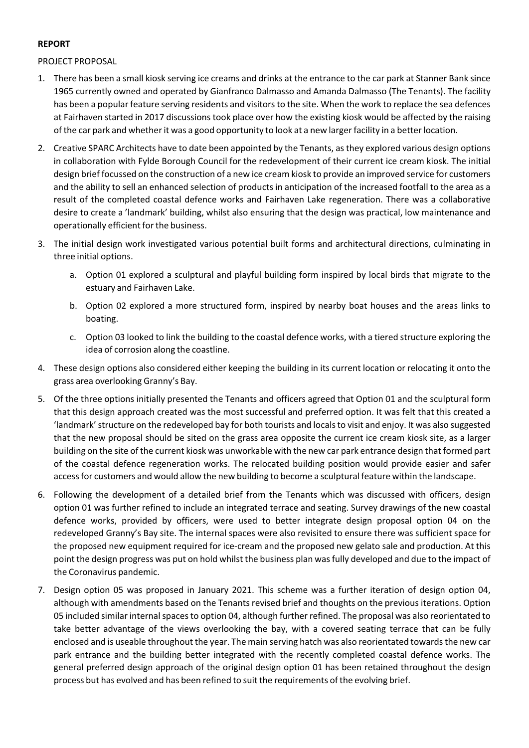### **REPORT**

PROJECT PROPOSAL

- 1. There has been a small kiosk serving ice creams and drinks at the entrance to the car park at Stanner Bank since 1965 currently owned and operated by Gianfranco Dalmasso and Amanda Dalmasso (The Tenants). The facility has been a popular feature serving residents and visitorsto the site. When the work to replace the sea defences at Fairhaven started in 2017 discussions took place over how the existing kiosk would be affected by the raising of the car park and whether it was a good opportunity to look at a new larger facility in a better location.
- 2. Creative SPARC Architects have to date been appointed by the Tenants, asthey explored various design options in collaboration with Fylde Borough Council for the redevelopment of their current ice cream kiosk. The initial design brief focussed on the construction of a new ice cream kiosk to provide an improved service for customers and the ability to sell an enhanced selection of products in anticipation of the increased footfall to the area as a result of the completed coastal defence works and Fairhaven Lake regeneration. There was a collaborative desire to create a 'landmark' building, whilst also ensuring that the design was practical, low maintenance and operationally efficient forthe business.
- 3. The initial design work investigated various potential built forms and architectural directions, culminating in three initial options.
	- a. Option 01 explored a sculptural and playful building form inspired by local birds that migrate to the estuary and Fairhaven Lake.
	- b. Option 02 explored a more structured form, inspired by nearby boat houses and the areas links to boating.
	- c. Option 03 looked to link the building to the coastal defence works, with a tiered structure exploring the idea of corrosion along the coastline.
- 4. These design options also considered either keeping the building in its current location or relocating it onto the grass area overlooking Granny's Bay.
- 5. Of the three options initially presented the Tenants and officers agreed that Option 01 and the sculptural form that this design approach created was the most successful and preferred option. It was felt that this created a 'landmark'structure on the redeveloped bay for both tourists and localsto visit and enjoy. It was also suggested that the new proposal should be sited on the grass area opposite the current ice cream kiosk site, as a larger building on the site of the current kiosk was unworkable with the new car park entrance design that formed part of the coastal defence regeneration works. The relocated building position would provide easier and safer accessfor customers and would allow the new building to become a sculptural feature within the landscape.
- 6. Following the development of a detailed brief from the Tenants which was discussed with officers, design option 01 was further refined to include an integrated terrace and seating. Survey drawings of the new coastal defence works, provided by officers, were used to better integrate design proposal option 04 on the redeveloped Granny's Bay site. The internal spaces were also revisited to ensure there was sufficient space for the proposed new equipment required for ice‐cream and the proposed new gelato sale and production. At this point the design progress was put on hold whilst the business plan wasfully developed and due to the impact of the Coronavirus pandemic.
- 7. Design option 05 was proposed in January 2021. This scheme was a further iteration of design option 04, although with amendments based on the Tenants revised brief and thoughts on the previous iterations. Option 05 included similar internal spaces to option 04, although further refined. The proposal was also reorientated to take better advantage of the views overlooking the bay, with a covered seating terrace that can be fully enclosed and is useable throughout the year. The main serving hatch was also reorientated towards the new car park entrance and the building better integrated with the recently completed coastal defence works. The general preferred design approach of the original design option 01 has been retained throughout the design process but has evolved and has been refined to suit the requirements of the evolving brief.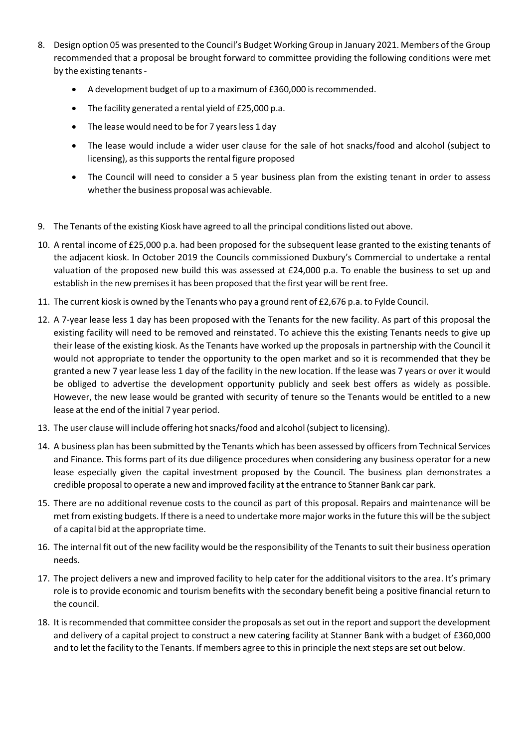- 8. Design option 05 was presented to the Council's Budget Working Group in January 2021. Members of the Group recommended that a proposal be brought forward to committee providing the following conditions were met by the existing tenants‐
	- A development budget of up to a maximum of £360,000 is recommended.
	- The facility generated a rental yield of £25,000 p.a.
	- The lease would need to be for 7 years less 1 day
	- The lease would include a wider user clause for the sale of hot snacks/food and alcohol (subject to licensing), as this supports the rental figure proposed
	- The Council will need to consider a 5 year business plan from the existing tenant in order to assess whether the business proposal was achievable.
- 9. The Tenants of the existing Kiosk have agreed to all the principal conditionslisted out above.
- 10. A rental income of £25,000 p.a. had been proposed for the subsequent lease granted to the existing tenants of the adjacent kiosk. In October 2019 the Councils commissioned Duxbury's Commercial to undertake a rental valuation of the proposed new build this was assessed at £24,000 p.a. To enable the business to set up and establish in the new premisesit has been proposed that the first year will be rent free.
- 11. The current kiosk is owned by the Tenants who pay a ground rent of £2,676 p.a. to Fylde Council.
- 12. A 7‐year lease less 1 day has been proposed with the Tenants for the new facility. As part of this proposal the existing facility will need to be removed and reinstated. To achieve this the existing Tenants needs to give up their lease of the existing kiosk. As the Tenants have worked up the proposals in partnership with the Council it would not appropriate to tender the opportunity to the open market and so it is recommended that they be granted a new 7 year lease less 1 day of the facility in the new location. If the lease was 7 years or over it would be obliged to advertise the development opportunity publicly and seek best offers as widely as possible. However, the new lease would be granted with security of tenure so the Tenants would be entitled to a new lease at the end of the initial 7 year period.
- 13. The user clause will include offering hot snacks/food and alcohol (subject to licensing).
- 14. A business plan has been submitted by the Tenants which has been assessed by officersfrom Technical Services and Finance. This forms part of its due diligence procedures when considering any business operator for a new lease especially given the capital investment proposed by the Council. The business plan demonstrates a credible proposal to operate a new and improved facility at the entrance to Stanner Bank car park.
- 15. There are no additional revenue costs to the council as part of this proposal. Repairs and maintenance will be met from existing budgets. If there is a need to undertake more major worksin the future this will be the subject of a capital bid at the appropriate time.
- 16. The internal fit out of the new facility would be the responsibility of the Tenantsto suit their business operation needs.
- 17. The project delivers a new and improved facility to help cater for the additional visitors to the area. It's primary role is to provide economic and tourism benefits with the secondary benefit being a positive financial return to the council.
- 18. It isrecommended that committee consider the proposals asset out in the report and support the development and delivery of a capital project to construct a new catering facility at Stanner Bank with a budget of £360,000 and to let the facility to the Tenants. If members agree to thisin principle the nextsteps are set out below.